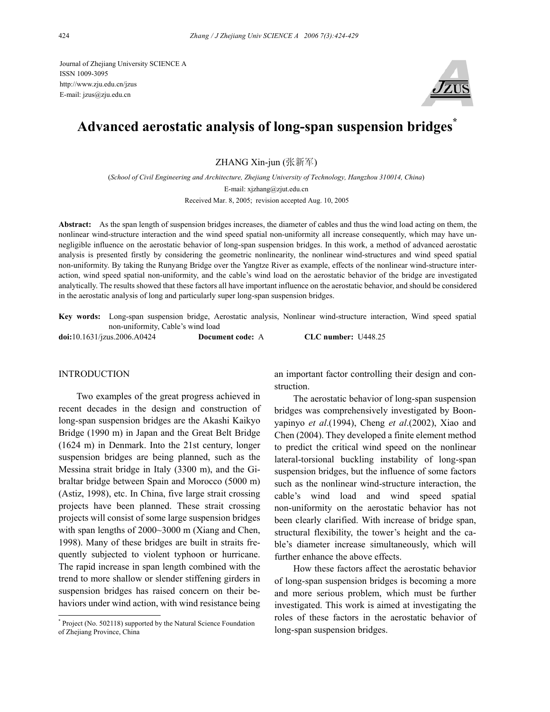Journal of Zhejiang University SCIENCE A ISSN 1009-3095 http://www.zju.edu.cn/jzus E-mail: jzus@zju.edu.cn



# **Advanced aerostatic analysis of long-span suspension bridges\***

ZHANG Xin-jun (张新军)

(*School of Civil Engineering and Architecture, Zhejiang University of Technology, Hangzhou 310014, China*) E-mail: xjzhang@zjut.edu.cn Received Mar. 8, 2005; revision accepted Aug. 10, 2005

**Abstract:** As the span length of suspension bridges increases, the diameter of cables and thus the wind load acting on them, the nonlinear wind-structure interaction and the wind speed spatial non-uniformity all increase consequently, which may have unnegligible influence on the aerostatic behavior of long-span suspension bridges. In this work, a method of advanced aerostatic analysis is presented firstly by considering the geometric nonlinearity, the nonlinear wind-structures and wind speed spatial non-uniformity. By taking the Runyang Bridge over the Yangtze River as example, effects of the nonlinear wind-structure interaction, wind speed spatial non-uniformity, and the cable's wind load on the aerostatic behavior of the bridge are investigated analytically. The results showed that these factors all have important influence on the aerostatic behavior, and should be considered in the aerostatic analysis of long and particularly super long-span suspension bridges.

**Key words:** Long-span suspension bridge, Aerostatic analysis, Nonlinear wind-structure interaction, Wind speed spatial non-uniformity, Cable's wind load

**doi:**10.1631/jzus.2006.A0424 **Document code:** A **CLC number:** U448.25

## INTRODUCTION

Two examples of the great progress achieved in recent decades in the design and construction of long-span suspension bridges are the Akashi Kaikyo Bridge (1990 m) in Japan and the Great Belt Bridge (1624 m) in Denmark. Into the 21st century, longer suspension bridges are being planned, such as the Messina strait bridge in Italy (3300 m), and the Gibraltar bridge between Spain and Morocco (5000 m) (Astiz, 1998), etc. In China, five large strait crossing projects have been planned. These strait crossing projects will consist of some large suspension bridges with span lengths of 2000~3000 m (Xiang and Chen, 1998). Many of these bridges are built in straits frequently subjected to violent typhoon or hurricane. The rapid increase in span length combined with the trend to more shallow or slender stiffening girders in suspension bridges has raised concern on their behaviors under wind action, with wind resistance being

an important factor controlling their design and construction.

The aerostatic behavior of long-span suspension bridges was comprehensively investigated by Boonyapinyo *et al*.(1994), Cheng *et al*.(2002), Xiao and Chen (2004). They developed a finite element method to predict the critical wind speed on the nonlinear lateral-torsional buckling instability of long-span suspension bridges, but the influence of some factors such as the nonlinear wind-structure interaction, the cable's wind load and wind speed spatial non-uniformity on the aerostatic behavior has not been clearly clarified. With increase of bridge span, structural flexibility, the tower's height and the cable's diameter increase simultaneously, which will further enhance the above effects.

How these factors affect the aerostatic behavior of long-span suspension bridges is becoming a more and more serious problem, which must be further investigated. This work is aimed at investigating the roles of these factors in the aerostatic behavior of long-span suspension bridges.

<sup>\*</sup> Project (No. 502118) supported by the Natural Science Foundation of Zhejiang Province, China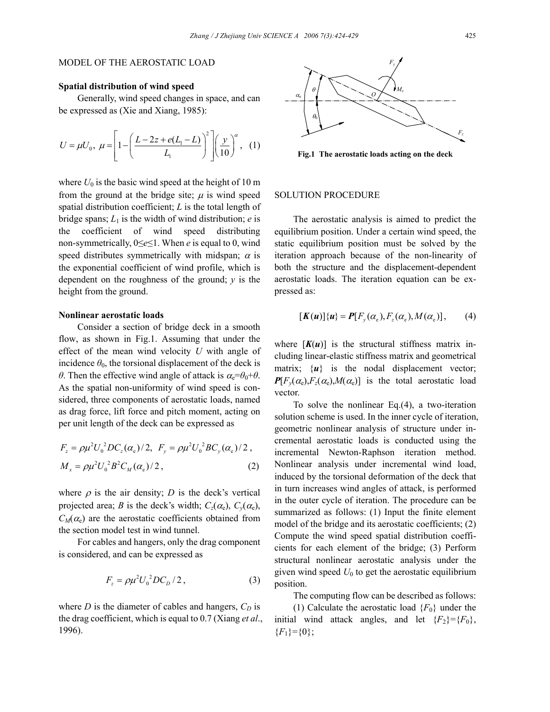## MODEL OF THE AEROSTATIC LOAD

## **Spatial distribution of wind speed**

Generally, wind speed changes in space, and can be expressed as (Xie and Xiang, 1985):

$$
U = \mu U_0, \ \mu = \left[1 - \left(\frac{L - 2z + e(L_1 - L)}{L_1}\right)^2\right] \left(\frac{y}{10}\right)^{\alpha}, \ \ (1)
$$

where  $U_0$  is the basic wind speed at the height of 10 m from the ground at the bridge site;  $\mu$  is wind speed spatial distribution coefficient; *L* is the total length of bridge spans;  $L_1$  is the width of wind distribution; *e* is the coefficient of wind speed distributing non-symmetrically, 0≤*e*≤1. When *e* is equal to 0, wind speed distributes symmetrically with midspan;  $\alpha$  is the exponential coefficient of wind profile, which is dependent on the roughness of the ground; *y* is the height from the ground.

#### **Nonlinear aerostatic loads**

Consider a section of bridge deck in a smooth flow, as shown in Fig.1. Assuming that under the effect of the mean wind velocity *U* with angle of incidence  $\theta_0$ , the torsional displacement of the deck is *θ*. Then the effective wind angle of attack is  $\alpha_e = \theta_0 + \theta$ . As the spatial non-uniformity of wind speed is considered, three components of aerostatic loads, named as drag force, lift force and pitch moment, acting on per unit length of the deck can be expressed as

$$
F_z = \rho \mu^2 U_0^2 D C_z(\alpha_e)/2, \ F_y = \rho \mu^2 U_0^2 B C_y(\alpha_e)/2,
$$
  

$$
M_x = \rho \mu^2 U_0^2 B^2 C_M(\alpha_e)/2,
$$
 (2)

where  $\rho$  is the air density; *D* is the deck's vertical projected area; *B* is the deck's width;  $C_z(\alpha_e)$ ,  $C_y(\alpha_e)$ ,  $C_M(\alpha_e)$  are the aerostatic coefficients obtained from the section model test in wind tunnel.

For cables and hangers, only the drag component is considered, and can be expressed as

$$
F_z = \rho \mu^2 U_0^2 D C_D / 2, \qquad (3)
$$

where  $D$  is the diameter of cables and hangers,  $C_D$  is the drag coefficient, which is equal to 0.7 (Xiang *et al*., 1996).



**Fig.1 The aerostatic loads acting on the deck** 

#### SOLUTION PROCEDURE

The aerostatic analysis is aimed to predict the equilibrium position. Under a certain wind speed, the static equilibrium position must be solved by the iteration approach because of the non-linearity of both the structure and the displacement-dependent aerostatic loads. The iteration equation can be expressed as:

$$
[\boldsymbol{K(u)}\{\boldsymbol{u}\} = \boldsymbol{P}[F_{y}(\alpha_{e}), F_{z}(\alpha_{e}), M(\alpha_{e})], \qquad (4)
$$

where  $[K(u)]$  is the structural stiffness matrix including linear-elastic stiffness matrix and geometrical matrix;  $\{u\}$  is the nodal displacement vector;  $P[F_v(\alpha_e), F_z(\alpha_e), M(\alpha_e)]$  is the total aerostatic load vector.

To solve the nonlinear Eq.(4), a two-iteration solution scheme is used. In the inner cycle of iteration, geometric nonlinear analysis of structure under incremental aerostatic loads is conducted using the incremental Newton-Raphson iteration method. Nonlinear analysis under incremental wind load, induced by the torsional deformation of the deck that in turn increases wind angles of attack, is performed in the outer cycle of iteration. The procedure can be summarized as follows: (1) Input the finite element model of the bridge and its aerostatic coefficients; (2) Compute the wind speed spatial distribution coefficients for each element of the bridge; (3) Perform structural nonlinear aerostatic analysis under the given wind speed  $U_0$  to get the aerostatic equilibrium position.

The computing flow can be described as follows:

(1) Calculate the aerostatic load  ${F_0}$  under the initial wind attack angles, and let  ${F_2}={F_0}$ ,  ${F_1}={0}$ ;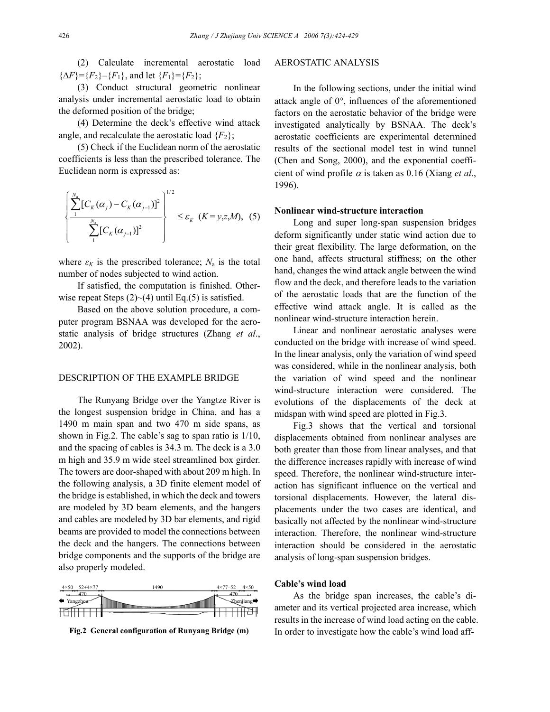(2) Calculate incremental aerostatic load  ${ \Delta F}={F_2}-{F_1},$  and let  ${F_1}={F_2};$ 

(3) Conduct structural geometric nonlinear analysis under incremental aerostatic load to obtain the deformed position of the bridge;

(4) Determine the deck's effective wind attack angle, and recalculate the aerostatic load  ${F<sub>2</sub>}$ ;

(5) Check if the Euclidean norm of the aerostatic coefficients is less than the prescribed tolerance. The Euclidean norm is expressed as:

$$
\left\{\frac{\sum_{1}^{N_{\rm a}}[C_K(\alpha_j)-C_K(\alpha_{j-1})]^2}{\sum_{1}^{N_{\rm a}}[C_K(\alpha_{j-1})]^2}\right\}^{1/2}\leq \varepsilon_K\ (K=y,z,M),\ (5)
$$

where  $\varepsilon_K$  is the prescribed tolerance;  $N_a$  is the total number of nodes subjected to wind action.

If satisfied, the computation is finished. Otherwise repeat Steps  $(2)$  –  $(4)$  until Eq.(5) is satisfied.

Based on the above solution procedure, a computer program BSNAA was developed for the aerostatic analysis of bridge structures (Zhang *et al*., 2002).

### DESCRIPTION OF THE EXAMPLE BRIDGE

The Runyang Bridge over the Yangtze River is the longest suspension bridge in China, and has a 1490 m main span and two 470 m side spans, as shown in Fig.2. The cable's sag to span ratio is 1/10, and the spacing of cables is 34.3 m. The deck is a 3.0 m high and 35.9 m wide steel streamlined box girder. The towers are door-shaped with about 209 m high. In the following analysis, a 3D finite element model of the bridge is established, in which the deck and towers are modeled by 3D beam elements, and the hangers and cables are modeled by 3D bar elements, and rigid beams are provided to model the connections between the deck and the hangers. The connections between bridge components and the supports of the bridge are also properly modeled.



## AEROSTATIC ANALYSIS

In the following sections, under the initial wind attack angle of 0°, influences of the aforementioned factors on the aerostatic behavior of the bridge were investigated analytically by BSNAA. The deck's aerostatic coefficients are experimental determined results of the sectional model test in wind tunnel (Chen and Song, 2000), and the exponential coefficient of wind profile  $\alpha$  is taken as 0.16 (Xiang *et al.*, 1996).

#### **Nonlinear wind-structure interaction**

Long and super long-span suspension bridges deform significantly under static wind action due to their great flexibility. The large deformation, on the one hand, affects structural stiffness; on the other hand, changes the wind attack angle between the wind flow and the deck, and therefore leads to the variation of the aerostatic loads that are the function of the effective wind attack angle. It is called as the nonlinear wind-structure interaction herein.

Linear and nonlinear aerostatic analyses were conducted on the bridge with increase of wind speed. In the linear analysis, only the variation of wind speed was considered, while in the nonlinear analysis, both the variation of wind speed and the nonlinear wind-structure interaction were considered. The evolutions of the displacements of the deck at midspan with wind speed are plotted in Fig.3.

Fig.3 shows that the vertical and torsional displacements obtained from nonlinear analyses are both greater than those from linear analyses, and that the difference increases rapidly with increase of wind speed. Therefore, the nonlinear wind-structure interaction has significant influence on the vertical and torsional displacements. However, the lateral displacements under the two cases are identical, and basically not affected by the nonlinear wind-structure interaction. Therefore, the nonlinear wind-structure interaction should be considered in the aerostatic analysis of long-span suspension bridges.

## **Cable's wind load**

As the bridge span increases, the cable's diameter and its vertical projected area increase, which results in the increase of wind load acting on the cable. **Fig.2 General configuration of Runyang Bridge (m)** In order to investigate how the cable's wind load aff-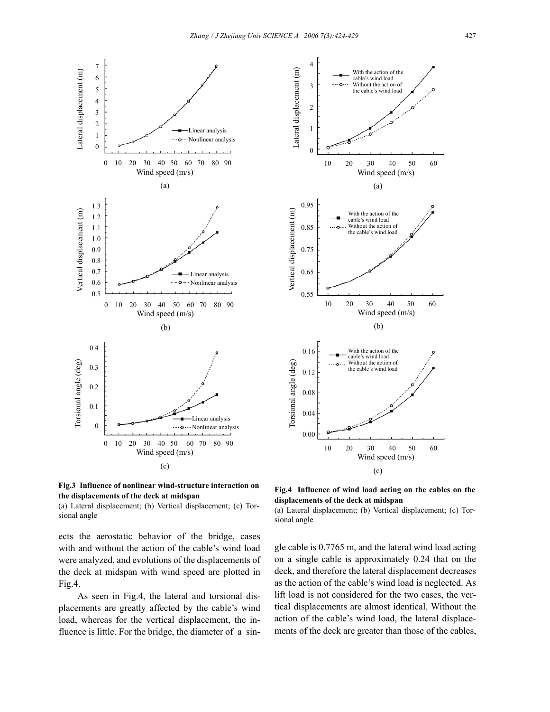



(a) Lateral displacement; (b) Vertical displacement; (c) Torsional angle

ects the aerostatic behavior of the bridge, cases with and without the action of the cable's wind load were analyzed, and evolutions of the displacements of the deck at midspan with wind speed are plotted in Fig.4.

As seen in Fig.4, the lateral and torsional displacements are greatly affected by the cable's wind load, whereas for the vertical displacement, the influence is little. For the bridge, the diameter of a sin-



**Fig.4 Influence of wind load acting on the cables on the displacements of the deck at midspan** 

(a) Lateral displacement; (b) Vertical displacement; (c) Torsional angle

gle cable is 0.7765 m, and the lateral wind load acting on a single cable is approximately 0.24 that on the deck, and therefore the lateral displacement decreases as the action of the cable's wind load is neglected. As lift load is not considered for the two cases, the vertical displacements are almost identical. Without the action of the cable's wind load, the lateral displacements of the deck are greater than those of the cables,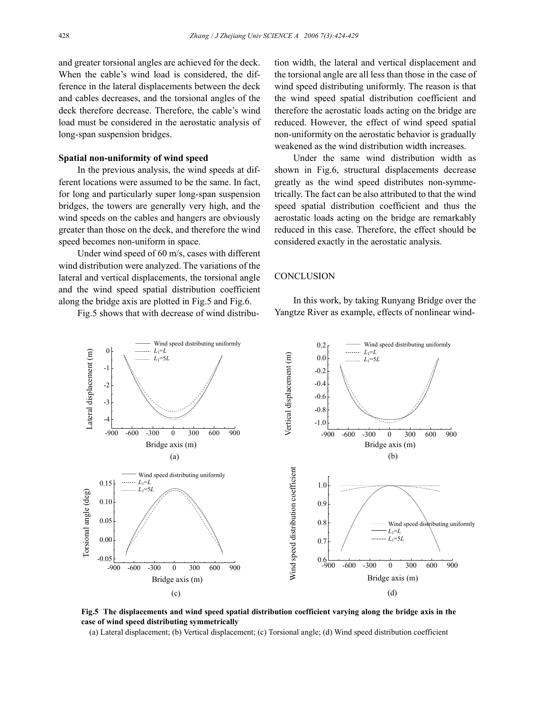and greater torsional angles are achieved for the deck. When the cable's wind load is considered, the difference in the lateral displacements between the deck and cables decreases, and the torsional angles of the deck therefore decrease. Therefore, the cable's wind load must be considered in the aerostatic analysis of long-span suspension bridges.

#### **Spatial non-uniformity of wind speed**

In the previous analysis, the wind speeds at different locations were assumed to be the same. In fact, for long and particularly super long-span suspension bridges, the towers are generally very high, and the wind speeds on the cables and hangers are obviously greater than those on the deck, and therefore the wind speed becomes non-uniform in space.

Under wind speed of 60 m/s, cases with different wind distribution were analyzed. The variations of the lateral and vertical displacements, the torsional angle and the wind speed spatial distribution coefficient along the bridge axis are plotted in Fig.5 and Fig.6.

Fig.5 shows that with decrease of wind distribu-

tion width, the lateral and vertical displacement and the torsional angle are all less than those in the case of wind speed distributing uniformly. The reason is that the wind speed spatial distribution coefficient and therefore the aerostatic loads acting on the bridge are reduced. However, the effect of wind speed spatial non-uniformity on the aerostatic behavior is gradually weakened as the wind distribution width increases.

Under the same wind distribution width as shown in Fig.6, structural displacements decrease greatly as the wind speed distributes non-symmetrically. The fact can be also attributed to that the wind speed spatial distribution coefficient and thus the aerostatic loads acting on the bridge are remarkably reduced in this case. Therefore, the effect should be considered exactly in the aerostatic analysis.

## **CONCLUSION**

In this work, by taking Runyang Bridge over the Yangtze River as example, effects of nonlinear wind-



**Fig.5 The displacements and wind speed spatial distribution coefficient varying along the bridge axis in the case of wind speed distributing symmetrically** 

(a) Lateral displacement; (b) Vertical displacement; (c) Torsional angle; (d) Wind speed distribution coefficient